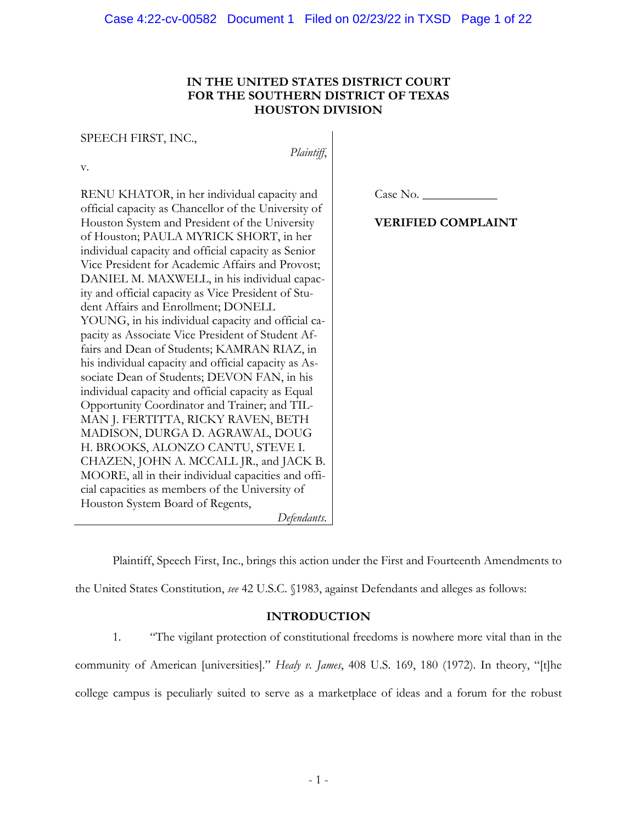### **IN THE UNITED STATES DISTRICT COURT FOR THE SOUTHERN DISTRICT OF TEXAS HOUSTON DIVISION**

*Plaintiff*,

SPEECH FIRST, INC.,

v.

RENU KHATOR, in her individual capacity and official capacity as Chancellor of the University of Houston System and President of the University of Houston; PAULA MYRICK SHORT, in her individual capacity and official capacity as Senior Vice President for Academic Affairs and Provost; DANIEL M. MAXWELL, in his individual capacity and official capacity as Vice President of Student Affairs and Enrollment; DONELL YOUNG, in his individual capacity and official capacity as Associate Vice President of Student Affairs and Dean of Students; KAMRAN RIAZ, in his individual capacity and official capacity as Associate Dean of Students; DEVON FAN, in his individual capacity and official capacity as Equal Opportunity Coordinator and Trainer; and TIL-MAN J. FERTITTA, RICKY RAVEN, BETH MADISON, DURGA D. AGRAWAL, DOUG H. BROOKS, ALONZO CANTU, STEVE I. CHAZEN, JOHN A. MCCALL JR., and JACK B. MOORE, all in their individual capacities and official capacities as members of the University of Houston System Board of Regents,

*Defendants*.

Case No.

# **VERIFIED COMPLAINT**

Plaintiff, Speech First, Inc., brings this action under the First and Fourteenth Amendments to the United States Constitution, *see* 42 U.S.C. §1983, against Defendants and alleges as follows:

## **INTRODUCTION**

1. "The vigilant protection of constitutional freedoms is nowhere more vital than in the community of American [universities]." *Healy v. James*, 408 U.S. 169, 180 (1972). In theory, "[t]he college campus is peculiarly suited to serve as a marketplace of ideas and a forum for the robust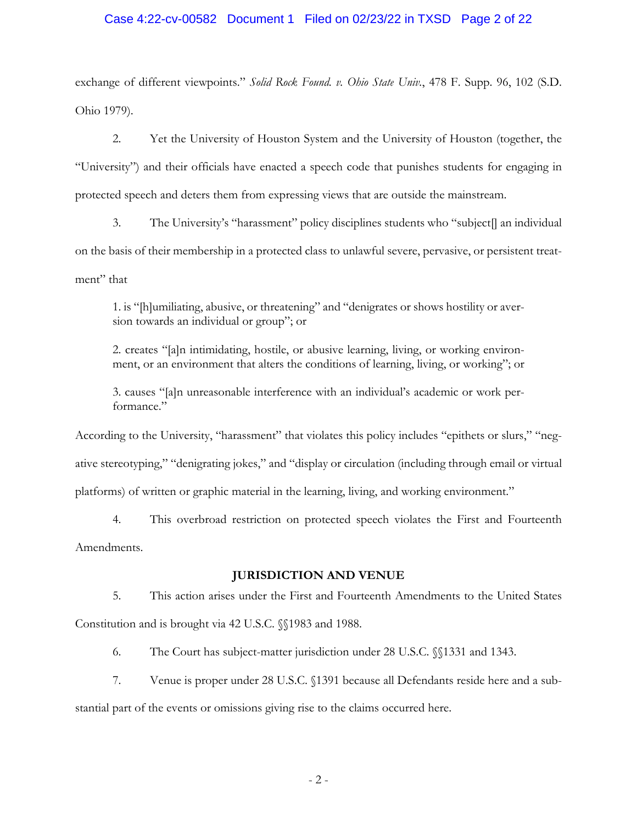### Case 4:22-cv-00582 Document 1 Filed on 02/23/22 in TXSD Page 2 of 22

exchange of different viewpoints." *Solid Rock Found. v. Ohio State Univ.*, 478 F. Supp. 96, 102 (S.D. Ohio 1979).

2. Yet the University of Houston System and the University of Houston (together, the "University") and their officials have enacted a speech code that punishes students for engaging in protected speech and deters them from expressing views that are outside the mainstream.

3. The University's "harassment" policy disciplines students who "subject[] an individual on the basis of their membership in a protected class to unlawful severe, pervasive, or persistent treatment" that

1. is "[h]umiliating, abusive, or threatening" and "denigrates or shows hostility or aversion towards an individual or group"; or

2. creates "[a]n intimidating, hostile, or abusive learning, living, or working environment, or an environment that alters the conditions of learning, living, or working"; or

3. causes "[a]n unreasonable interference with an individual's academic or work performance."

According to the University, "harassment" that violates this policy includes "epithets or slurs," "negative stereotyping," "denigrating jokes," and "display or circulation (including through email or virtual platforms) of written or graphic material in the learning, living, and working environment."

4. This overbroad restriction on protected speech violates the First and Fourteenth Amendments.

### **JURISDICTION AND VENUE**

5. This action arises under the First and Fourteenth Amendments to the United States Constitution and is brought via 42 U.S.C. §§1983 and 1988.

6. The Court has subject-matter jurisdiction under 28 U.S.C. §§1331 and 1343.

7. Venue is proper under 28 U.S.C. §1391 because all Defendants reside here and a sub-

stantial part of the events or omissions giving rise to the claims occurred here.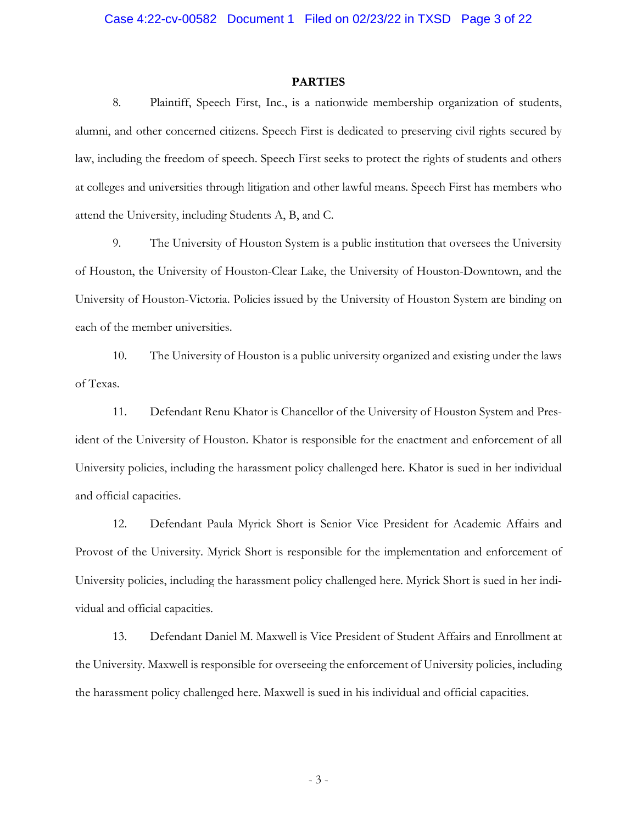### **PARTIES**

8. Plaintiff, Speech First, Inc., is a nationwide membership organization of students, alumni, and other concerned citizens. Speech First is dedicated to preserving civil rights secured by law, including the freedom of speech. Speech First seeks to protect the rights of students and others at colleges and universities through litigation and other lawful means. Speech First has members who attend the University, including Students A, B, and C.

9. The University of Houston System is a public institution that oversees the University of Houston, the University of Houston-Clear Lake, the University of Houston-Downtown, and the University of Houston-Victoria. Policies issued by the University of Houston System are binding on each of the member universities.

10. The University of Houston is a public university organized and existing under the laws of Texas.

11. Defendant Renu Khator is Chancellor of the University of Houston System and President of the University of Houston. Khator is responsible for the enactment and enforcement of all University policies, including the harassment policy challenged here. Khator is sued in her individual and official capacities.

12. Defendant Paula Myrick Short is Senior Vice President for Academic Affairs and Provost of the University. Myrick Short is responsible for the implementation and enforcement of University policies, including the harassment policy challenged here. Myrick Short is sued in her individual and official capacities.

13. Defendant Daniel M. Maxwell is Vice President of Student Affairs and Enrollment at the University. Maxwell is responsible for overseeing the enforcement of University policies, including the harassment policy challenged here. Maxwell is sued in his individual and official capacities.

- 3 -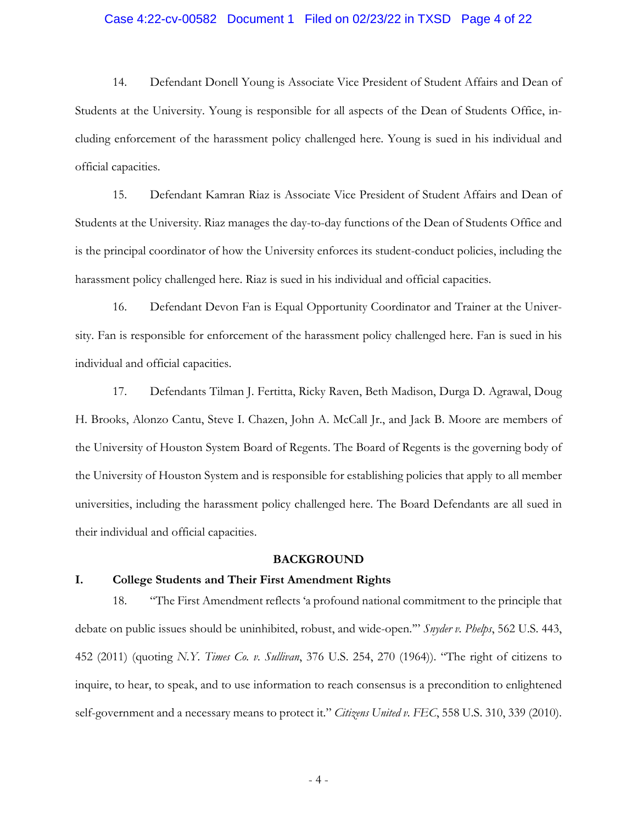### Case 4:22-cv-00582 Document 1 Filed on 02/23/22 in TXSD Page 4 of 22

14. Defendant Donell Young is Associate Vice President of Student Affairs and Dean of Students at the University. Young is responsible for all aspects of the Dean of Students Office, including enforcement of the harassment policy challenged here. Young is sued in his individual and official capacities.

15. Defendant Kamran Riaz is Associate Vice President of Student Affairs and Dean of Students at the University. Riaz manages the day-to-day functions of the Dean of Students Office and is the principal coordinator of how the University enforces its student-conduct policies, including the harassment policy challenged here. Riaz is sued in his individual and official capacities.

16. Defendant Devon Fan is Equal Opportunity Coordinator and Trainer at the University. Fan is responsible for enforcement of the harassment policy challenged here. Fan is sued in his individual and official capacities.

17. Defendants Tilman J. Fertitta, Ricky Raven, Beth Madison, Durga D. Agrawal, Doug H. Brooks, Alonzo Cantu, Steve I. Chazen, John A. McCall Jr., and Jack B. Moore are members of the University of Houston System Board of Regents. The Board of Regents is the governing body of the University of Houston System and is responsible for establishing policies that apply to all member universities, including the harassment policy challenged here. The Board Defendants are all sued in their individual and official capacities.

#### **BACKGROUND**

#### **I. College Students and Their First Amendment Rights**

18. "The First Amendment reflects 'a profound national commitment to the principle that debate on public issues should be uninhibited, robust, and wide-open.'" *Snyder v. Phelps*, 562 U.S. 443, 452 (2011) (quoting *N.Y. Times Co. v. Sullivan*, 376 U.S. 254, 270 (1964)). "The right of citizens to inquire, to hear, to speak, and to use information to reach consensus is a precondition to enlightened self-government and a necessary means to protect it." *Citizens United v. FEC*, 558 U.S. 310, 339 (2010).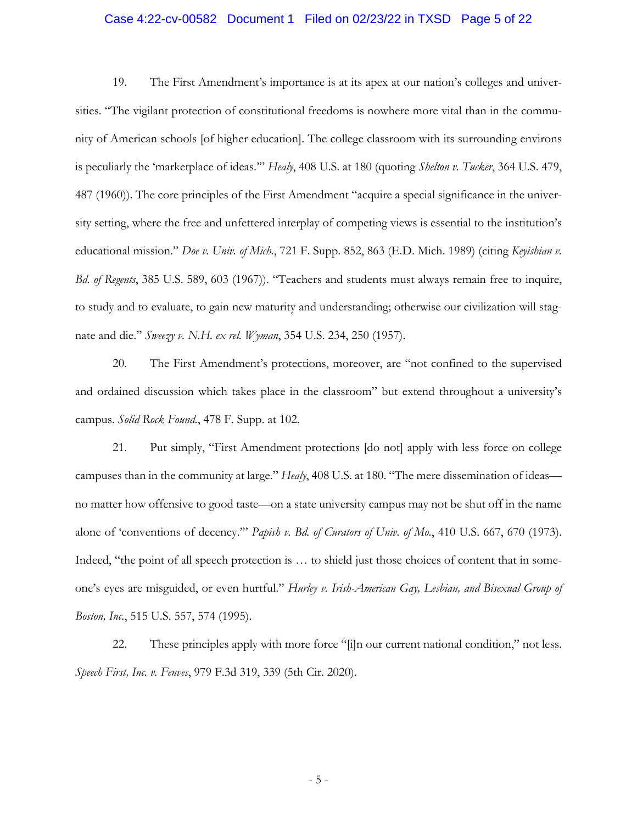### Case 4:22-cv-00582 Document 1 Filed on 02/23/22 in TXSD Page 5 of 22

19. The First Amendment's importance is at its apex at our nation's colleges and universities. "The vigilant protection of constitutional freedoms is nowhere more vital than in the community of American schools [of higher education]. The college classroom with its surrounding environs is peculiarly the 'marketplace of ideas.'" *Healy*, 408 U.S. at 180 (quoting *Shelton v. Tucker*, 364 U.S. 479, 487 (1960)). The core principles of the First Amendment "acquire a special significance in the university setting, where the free and unfettered interplay of competing views is essential to the institution's educational mission." *Doe v. Univ. of Mich.*, 721 F. Supp. 852, 863 (E.D. Mich. 1989) (citing *Keyishian v. Bd. of Regents*, 385 U.S. 589, 603 (1967)). "Teachers and students must always remain free to inquire, to study and to evaluate, to gain new maturity and understanding; otherwise our civilization will stagnate and die." *Sweezy v. N.H. ex rel. Wyman*, 354 U.S. 234, 250 (1957).

20. The First Amendment's protections, moreover, are "not confined to the supervised and ordained discussion which takes place in the classroom" but extend throughout a university's campus. *Solid Rock Found.*, 478 F. Supp. at 102.

21. Put simply, "First Amendment protections [do not] apply with less force on college campuses than in the community at large." *Healy*, 408 U.S. at 180. "The mere dissemination of ideas no matter how offensive to good taste—on a state university campus may not be shut off in the name alone of 'conventions of decency.'" *Papish v. Bd. of Curators of Univ. of Mo.*, 410 U.S. 667, 670 (1973). Indeed, "the point of all speech protection is … to shield just those choices of content that in someone's eyes are misguided, or even hurtful." *Hurley v. Irish-American Gay, Lesbian, and Bisexual Group of Boston, Inc.*, 515 U.S. 557, 574 (1995).

22. These principles apply with more force "[i]n our current national condition," not less. *Speech First, Inc. v. Fenves*, 979 F.3d 319, 339 (5th Cir. 2020).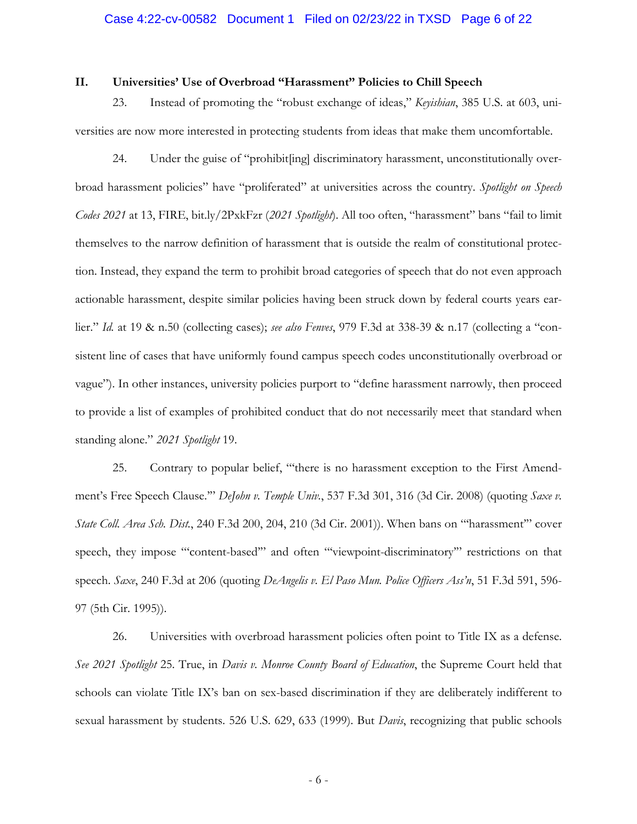### Case 4:22-cv-00582 Document 1 Filed on 02/23/22 in TXSD Page 6 of 22

### **II. Universities' Use of Overbroad "Harassment" Policies to Chill Speech**

23. Instead of promoting the "robust exchange of ideas," *Keyishian*, 385 U.S. at 603, universities are now more interested in protecting students from ideas that make them uncomfortable.

24. Under the guise of "prohibit[ing] discriminatory harassment, unconstitutionally overbroad harassment policies" have "proliferated" at universities across the country. *Spotlight on Speech Codes 2021* at 13, FIRE, bit.ly/2PxkFzr (*2021 Spotlight*). All too often, "harassment" bans "fail to limit themselves to the narrow definition of harassment that is outside the realm of constitutional protection. Instead, they expand the term to prohibit broad categories of speech that do not even approach actionable harassment, despite similar policies having been struck down by federal courts years earlier." *Id.* at 19 & n.50 (collecting cases); *see also Fenves*, 979 F.3d at 338-39 & n.17 (collecting a "consistent line of cases that have uniformly found campus speech codes unconstitutionally overbroad or vague"). In other instances, university policies purport to "define harassment narrowly, then proceed to provide a list of examples of prohibited conduct that do not necessarily meet that standard when standing alone." *2021 Spotlight* 19.

25. Contrary to popular belief, "'there is no harassment exception to the First Amendment's Free Speech Clause.'" *DeJohn v. Temple Univ.*, 537 F.3d 301, 316 (3d Cir. 2008) (quoting *Saxe v. State Coll. Area Sch. Dist.*, 240 F.3d 200, 204, 210 (3d Cir. 2001)). When bans on "'harassment'" cover speech, they impose "'content-based'" and often "'viewpoint-discriminatory'" restrictions on that speech. *Saxe*, 240 F.3d at 206 (quoting *DeAngelis v. El Paso Mun. Police Officers Ass'n*, 51 F.3d 591, 596- 97 (5th Cir. 1995)).

26. Universities with overbroad harassment policies often point to Title IX as a defense. *See 2021 Spotlight* 25. True, in *Davis v. Monroe County Board of Education*, the Supreme Court held that schools can violate Title IX's ban on sex-based discrimination if they are deliberately indifferent to sexual harassment by students. 526 U.S. 629, 633 (1999). But *Davis*, recognizing that public schools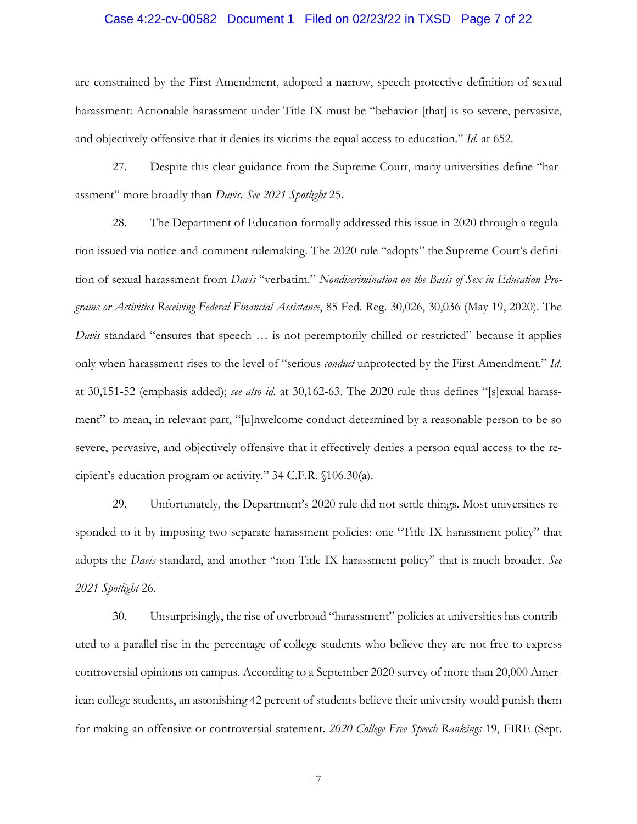### Case 4:22-cv-00582 Document 1 Filed on 02/23/22 in TXSD Page 7 of 22

are constrained by the First Amendment, adopted a narrow, speech-protective definition of sexual harassment: Actionable harassment under Title IX must be "behavior [that] is so severe, pervasive, and objectively offensive that it denies its victims the equal access to education." *Id.* at 652.

27. Despite this clear guidance from the Supreme Court, many universities define "harassment" more broadly than *Davis*. *See 2021 Spotlight* 25.

28. The Department of Education formally addressed this issue in 2020 through a regulation issued via notice-and-comment rulemaking. The 2020 rule "adopts" the Supreme Court's definition of sexual harassment from *Davis* "verbatim." *Nondiscrimination on the Basis of Sex in Education Programs or Activities Receiving Federal Financial Assistance*, 85 Fed. Reg. 30,026, 30,036 (May 19, 2020). The *Davis* standard "ensures that speech ... is not peremptorily chilled or restricted" because it applies only when harassment rises to the level of "serious *conduct* unprotected by the First Amendment." *Id.* at 30,151-52 (emphasis added); *see also id.* at 30,162-63. The 2020 rule thus defines "[s]exual harassment" to mean, in relevant part, "[u]nwelcome conduct determined by a reasonable person to be so severe, pervasive, and objectively offensive that it effectively denies a person equal access to the recipient's education program or activity." 34 C.F.R. §106.30(a).

29. Unfortunately, the Department's 2020 rule did not settle things. Most universities responded to it by imposing two separate harassment policies: one "Title IX harassment policy" that adopts the *Davis* standard, and another "non-Title IX harassment policy" that is much broader. *See 2021 Spotlight* 26.

30. Unsurprisingly, the rise of overbroad "harassment" policies at universities has contributed to a parallel rise in the percentage of college students who believe they are not free to express controversial opinions on campus. According to a September 2020 survey of more than 20,000 American college students, an astonishing 42 percent of students believe their university would punish them for making an offensive or controversial statement. *2020 College Free Speech Rankings* 19, FIRE (Sept.

- 7 -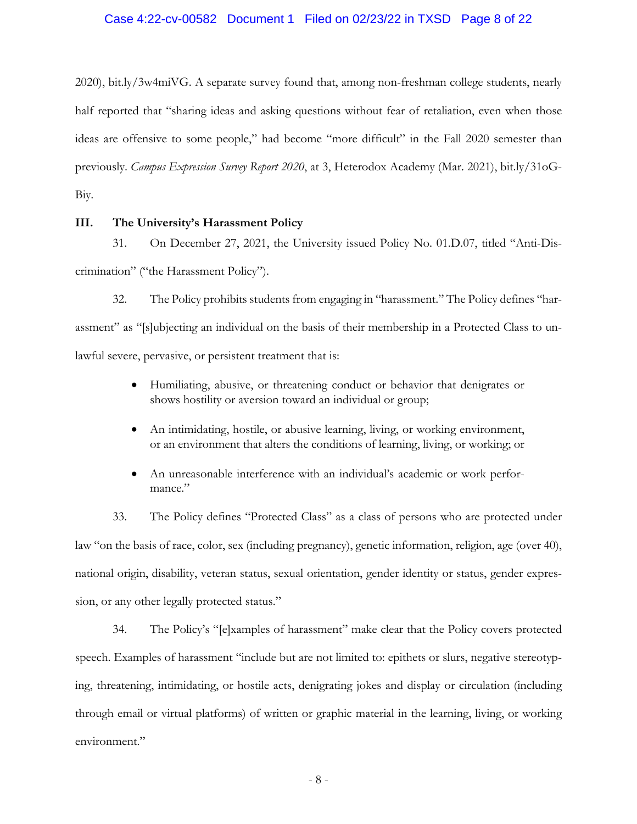### Case 4:22-cv-00582 Document 1 Filed on 02/23/22 in TXSD Page 8 of 22

2020), bit.ly/3w4miVG. A separate survey found that, among non-freshman college students, nearly half reported that "sharing ideas and asking questions without fear of retaliation, even when those ideas are offensive to some people," had become "more difficult" in the Fall 2020 semester than previously. *Campus Expression Survey Report 2020*, at 3, Heterodox Academy (Mar. 2021), bit.ly/31oG-Biy.

### **III. The University's Harassment Policy**

31. On December 27, 2021, the University issued Policy No. 01.D.07, titled "Anti-Discrimination" ("the Harassment Policy").

32. The Policy prohibits students from engaging in "harassment." The Policy defines "harassment" as "[s]ubjecting an individual on the basis of their membership in a Protected Class to unlawful severe, pervasive, or persistent treatment that is:

- Humiliating, abusive, or threatening conduct or behavior that denigrates or shows hostility or aversion toward an individual or group;
- An intimidating, hostile, or abusive learning, living, or working environment, or an environment that alters the conditions of learning, living, or working; or
- An unreasonable interference with an individual's academic or work performance."

33. The Policy defines "Protected Class" as a class of persons who are protected under law "on the basis of race, color, sex (including pregnancy), genetic information, religion, age (over 40), national origin, disability, veteran status, sexual orientation, gender identity or status, gender expression, or any other legally protected status."

34. The Policy's "[e]xamples of harassment" make clear that the Policy covers protected speech. Examples of harassment "include but are not limited to: epithets or slurs, negative stereotyping, threatening, intimidating, or hostile acts, denigrating jokes and display or circulation (including through email or virtual platforms) of written or graphic material in the learning, living, or working environment."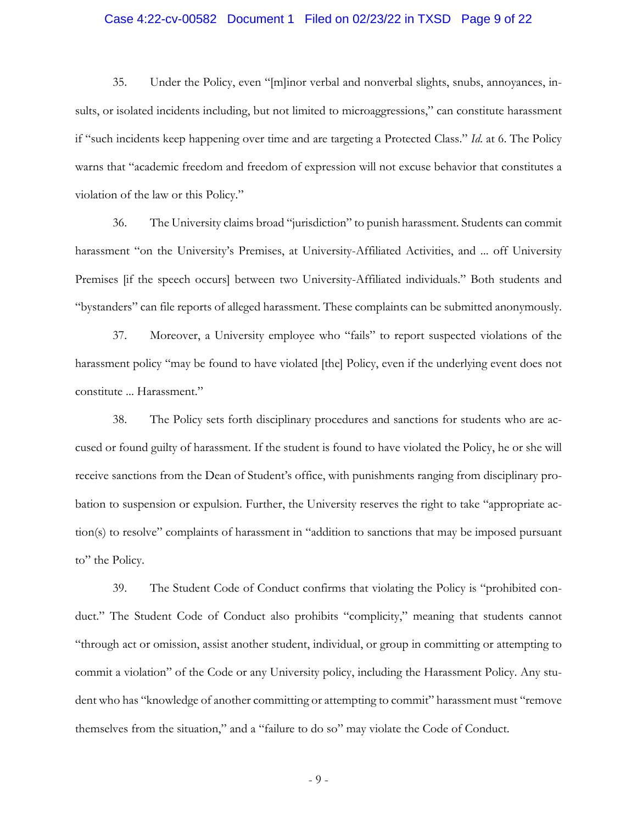### Case 4:22-cv-00582 Document 1 Filed on 02/23/22 in TXSD Page 9 of 22

35. Under the Policy, even "[m]inor verbal and nonverbal slights, snubs, annoyances, insults, or isolated incidents including, but not limited to microaggressions," can constitute harassment if "such incidents keep happening over time and are targeting a Protected Class." *Id*. at 6. The Policy warns that "academic freedom and freedom of expression will not excuse behavior that constitutes a violation of the law or this Policy."

36. The University claims broad "jurisdiction" to punish harassment. Students can commit harassment "on the University's Premises, at University-Affiliated Activities, and ... off University Premises [if the speech occurs] between two University-Affiliated individuals." Both students and "bystanders" can file reports of alleged harassment. These complaints can be submitted anonymously.

37. Moreover, a University employee who "fails" to report suspected violations of the harassment policy "may be found to have violated [the] Policy, even if the underlying event does not constitute ... Harassment."

38. The Policy sets forth disciplinary procedures and sanctions for students who are accused or found guilty of harassment. If the student is found to have violated the Policy, he or she will receive sanctions from the Dean of Student's office, with punishments ranging from disciplinary probation to suspension or expulsion. Further, the University reserves the right to take "appropriate action(s) to resolve" complaints of harassment in "addition to sanctions that may be imposed pursuant to" the Policy.

39. The Student Code of Conduct confirms that violating the Policy is "prohibited conduct." The Student Code of Conduct also prohibits "complicity," meaning that students cannot "through act or omission, assist another student, individual, or group in committing or attempting to commit a violation" of the Code or any University policy, including the Harassment Policy. Any student who has "knowledge of another committing or attempting to commit" harassment must "remove themselves from the situation," and a "failure to do so" may violate the Code of Conduct.

- 9 -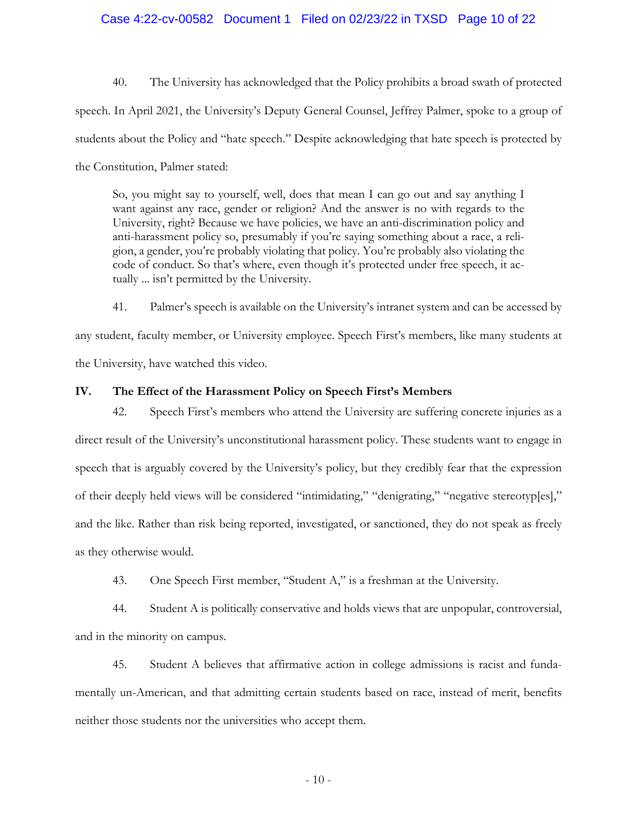### Case 4:22-cv-00582 Document 1 Filed on 02/23/22 in TXSD Page 10 of 22

40. The University has acknowledged that the Policy prohibits a broad swath of protected speech. In April 2021, the University's Deputy General Counsel, Jeffrey Palmer, spoke to a group of students about the Policy and "hate speech." Despite acknowledging that hate speech is protected by the Constitution, Palmer stated:

So, you might say to yourself, well, does that mean I can go out and say anything I want against any race, gender or religion? And the answer is no with regards to the University, right? Because we have policies, we have an anti-discrimination policy and anti-harassment policy so, presumably if you're saying something about a race, a religion, a gender, you're probably violating that policy. You're probably also violating the code of conduct. So that's where, even though it's protected under free speech, it actually ... isn't permitted by the University.

41. Palmer's speech is available on the University's intranet system and can be accessed by any student, faculty member, or University employee. Speech First's members, like many students at the University, have watched this video.

### **IV. The Effect of the Harassment Policy on Speech First's Members**

42. Speech First's members who attend the University are suffering concrete injuries as a direct result of the University's unconstitutional harassment policy. These students want to engage in speech that is arguably covered by the University's policy, but they credibly fear that the expression of their deeply held views will be considered "intimidating," "denigrating," "negative stereotyp[es]," and the like. Rather than risk being reported, investigated, or sanctioned, they do not speak as freely as they otherwise would.

43. One Speech First member, "Student A," is a freshman at the University.

44. Student A is politically conservative and holds views that are unpopular, controversial, and in the minority on campus.

45. Student A believes that affirmative action in college admissions is racist and fundamentally un-American, and that admitting certain students based on race, instead of merit, benefits neither those students nor the universities who accept them.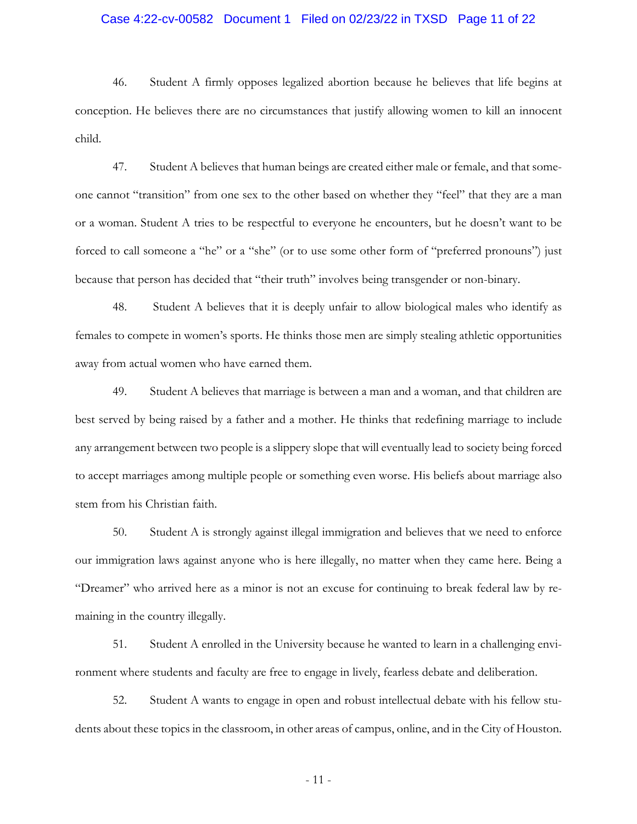### Case 4:22-cv-00582 Document 1 Filed on 02/23/22 in TXSD Page 11 of 22

46. Student A firmly opposes legalized abortion because he believes that life begins at conception. He believes there are no circumstances that justify allowing women to kill an innocent child.

47. Student A believes that human beings are created either male or female, and that someone cannot "transition" from one sex to the other based on whether they "feel" that they are a man or a woman. Student A tries to be respectful to everyone he encounters, but he doesn't want to be forced to call someone a "he" or a "she" (or to use some other form of "preferred pronouns") just because that person has decided that "their truth" involves being transgender or non-binary.

48. Student A believes that it is deeply unfair to allow biological males who identify as females to compete in women's sports. He thinks those men are simply stealing athletic opportunities away from actual women who have earned them.

49. Student A believes that marriage is between a man and a woman, and that children are best served by being raised by a father and a mother. He thinks that redefining marriage to include any arrangement between two people is a slippery slope that will eventually lead to society being forced to accept marriages among multiple people or something even worse. His beliefs about marriage also stem from his Christian faith.

50. Student A is strongly against illegal immigration and believes that we need to enforce our immigration laws against anyone who is here illegally, no matter when they came here. Being a "Dreamer" who arrived here as a minor is not an excuse for continuing to break federal law by remaining in the country illegally.

51. Student A enrolled in the University because he wanted to learn in a challenging environment where students and faculty are free to engage in lively, fearless debate and deliberation.

52. Student A wants to engage in open and robust intellectual debate with his fellow students about these topics in the classroom, in other areas of campus, online, and in the City of Houston.

- 11 -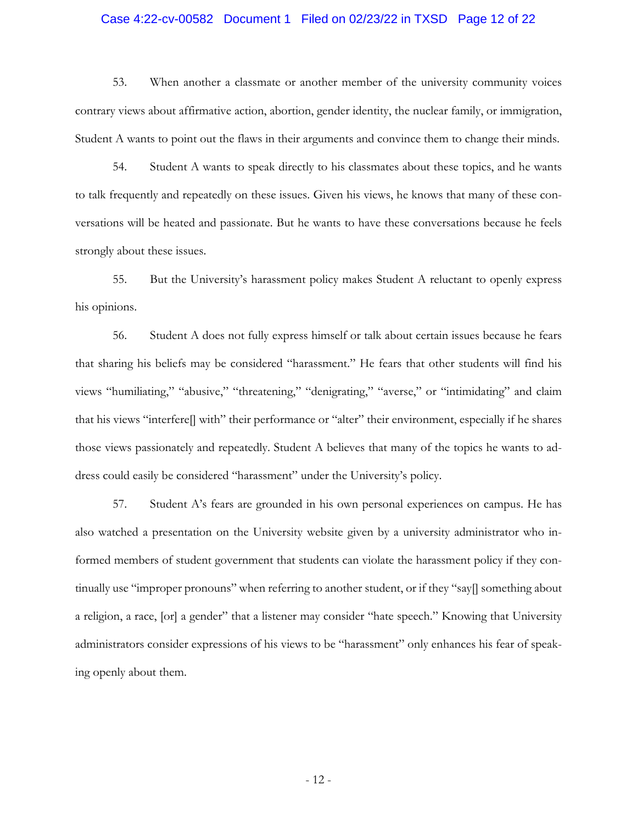### Case 4:22-cv-00582 Document 1 Filed on 02/23/22 in TXSD Page 12 of 22

53. When another a classmate or another member of the university community voices contrary views about affirmative action, abortion, gender identity, the nuclear family, or immigration, Student A wants to point out the flaws in their arguments and convince them to change their minds.

54. Student A wants to speak directly to his classmates about these topics, and he wants to talk frequently and repeatedly on these issues. Given his views, he knows that many of these conversations will be heated and passionate. But he wants to have these conversations because he feels strongly about these issues.

55. But the University's harassment policy makes Student A reluctant to openly express his opinions.

56. Student A does not fully express himself or talk about certain issues because he fears that sharing his beliefs may be considered "harassment." He fears that other students will find his views "humiliating," "abusive," "threatening," "denigrating," "averse," or "intimidating" and claim that his views "interfere[] with" their performance or "alter" their environment, especially if he shares those views passionately and repeatedly. Student A believes that many of the topics he wants to address could easily be considered "harassment" under the University's policy.

57. Student A's fears are grounded in his own personal experiences on campus. He has also watched a presentation on the University website given by a university administrator who informed members of student government that students can violate the harassment policy if they continually use "improper pronouns" when referring to another student, or if they "say[] something about a religion, a race, [or] a gender" that a listener may consider "hate speech." Knowing that University administrators consider expressions of his views to be "harassment" only enhances his fear of speaking openly about them.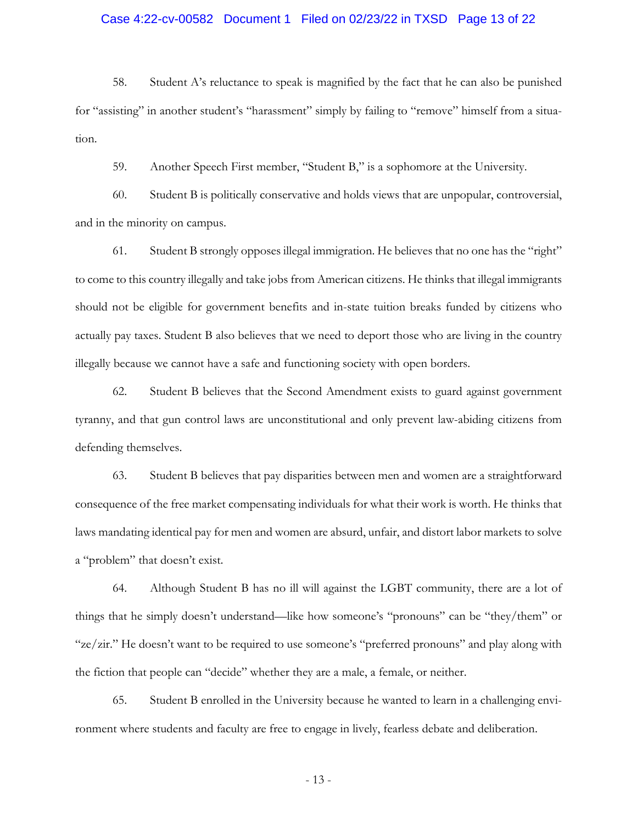### Case 4:22-cv-00582 Document 1 Filed on 02/23/22 in TXSD Page 13 of 22

58. Student A's reluctance to speak is magnified by the fact that he can also be punished for "assisting" in another student's "harassment" simply by failing to "remove" himself from a situation.

59. Another Speech First member, "Student B," is a sophomore at the University.

60. Student B is politically conservative and holds views that are unpopular, controversial, and in the minority on campus.

61. Student B strongly opposes illegal immigration. He believes that no one has the "right" to come to this country illegally and take jobs from American citizens. He thinks that illegal immigrants should not be eligible for government benefits and in-state tuition breaks funded by citizens who actually pay taxes. Student B also believes that we need to deport those who are living in the country illegally because we cannot have a safe and functioning society with open borders.

62. Student B believes that the Second Amendment exists to guard against government tyranny, and that gun control laws are unconstitutional and only prevent law-abiding citizens from defending themselves.

63. Student B believes that pay disparities between men and women are a straightforward consequence of the free market compensating individuals for what their work is worth. He thinks that laws mandating identical pay for men and women are absurd, unfair, and distort labor markets to solve a "problem" that doesn't exist.

64. Although Student B has no ill will against the LGBT community, there are a lot of things that he simply doesn't understand—like how someone's "pronouns" can be "they/them" or "ze/zir." He doesn't want to be required to use someone's "preferred pronouns" and play along with the fiction that people can "decide" whether they are a male, a female, or neither.

65. Student B enrolled in the University because he wanted to learn in a challenging environment where students and faculty are free to engage in lively, fearless debate and deliberation.

- 13 -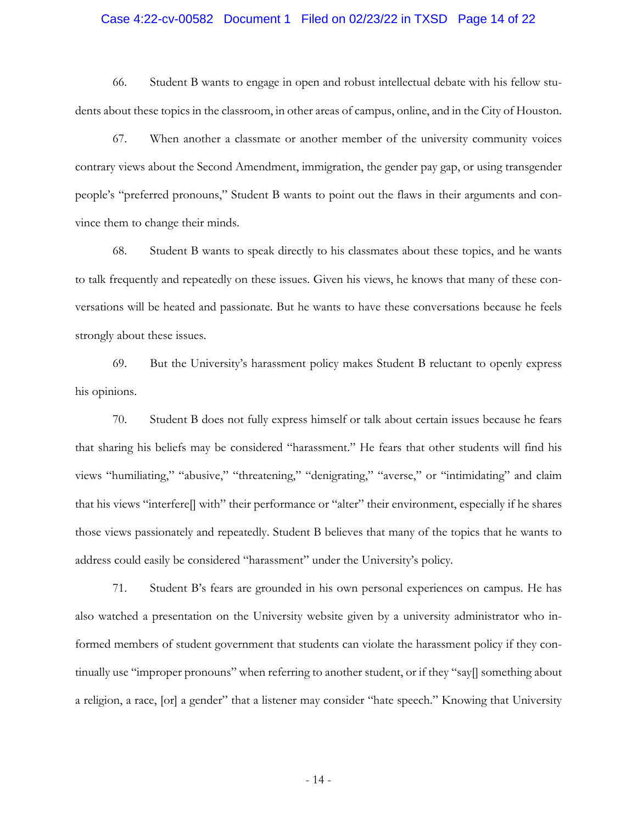### Case 4:22-cv-00582 Document 1 Filed on 02/23/22 in TXSD Page 14 of 22

66. Student B wants to engage in open and robust intellectual debate with his fellow students about these topics in the classroom, in other areas of campus, online, and in the City of Houston.

67. When another a classmate or another member of the university community voices contrary views about the Second Amendment, immigration, the gender pay gap, or using transgender people's "preferred pronouns," Student B wants to point out the flaws in their arguments and convince them to change their minds.

68. Student B wants to speak directly to his classmates about these topics, and he wants to talk frequently and repeatedly on these issues. Given his views, he knows that many of these conversations will be heated and passionate. But he wants to have these conversations because he feels strongly about these issues.

69. But the University's harassment policy makes Student B reluctant to openly express his opinions.

70. Student B does not fully express himself or talk about certain issues because he fears that sharing his beliefs may be considered "harassment." He fears that other students will find his views "humiliating," "abusive," "threatening," "denigrating," "averse," or "intimidating" and claim that his views "interfere[] with" their performance or "alter" their environment, especially if he shares those views passionately and repeatedly. Student B believes that many of the topics that he wants to address could easily be considered "harassment" under the University's policy.

71. Student B's fears are grounded in his own personal experiences on campus. He has also watched a presentation on the University website given by a university administrator who informed members of student government that students can violate the harassment policy if they continually use "improper pronouns" when referring to another student, or if they "say[] something about a religion, a race, [or] a gender" that a listener may consider "hate speech." Knowing that University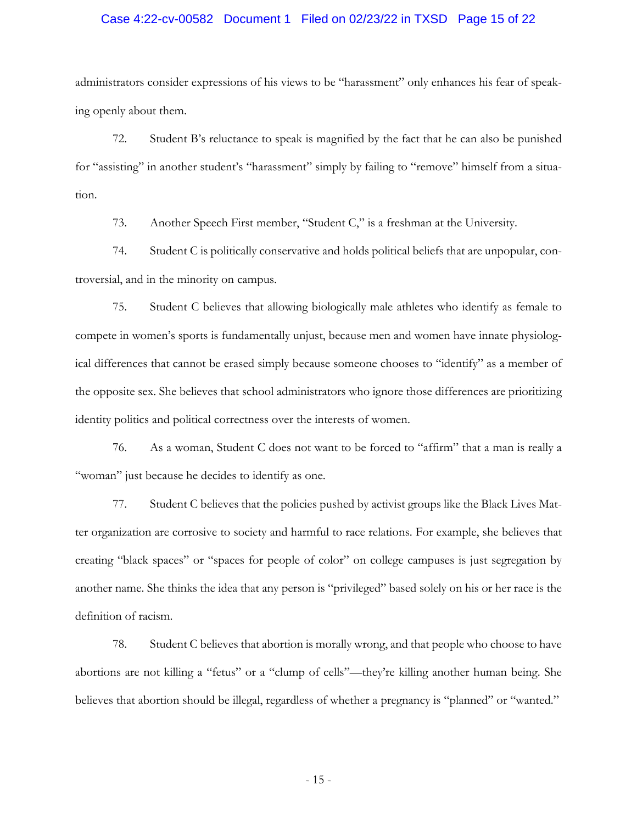### Case 4:22-cv-00582 Document 1 Filed on 02/23/22 in TXSD Page 15 of 22

administrators consider expressions of his views to be "harassment" only enhances his fear of speaking openly about them.

72. Student B's reluctance to speak is magnified by the fact that he can also be punished for "assisting" in another student's "harassment" simply by failing to "remove" himself from a situation.

73. Another Speech First member, "Student C," is a freshman at the University.

74. Student C is politically conservative and holds political beliefs that are unpopular, controversial, and in the minority on campus.

75. Student C believes that allowing biologically male athletes who identify as female to compete in women's sports is fundamentally unjust, because men and women have innate physiological differences that cannot be erased simply because someone chooses to "identify" as a member of the opposite sex. She believes that school administrators who ignore those differences are prioritizing identity politics and political correctness over the interests of women.

76. As a woman, Student C does not want to be forced to "affirm" that a man is really a "woman" just because he decides to identify as one.

77. Student C believes that the policies pushed by activist groups like the Black Lives Matter organization are corrosive to society and harmful to race relations. For example, she believes that creating "black spaces" or "spaces for people of color" on college campuses is just segregation by another name. She thinks the idea that any person is "privileged" based solely on his or her race is the definition of racism.

78. Student C believes that abortion is morally wrong, and that people who choose to have abortions are not killing a "fetus" or a "clump of cells"—they're killing another human being. She believes that abortion should be illegal, regardless of whether a pregnancy is "planned" or "wanted."

- 15 -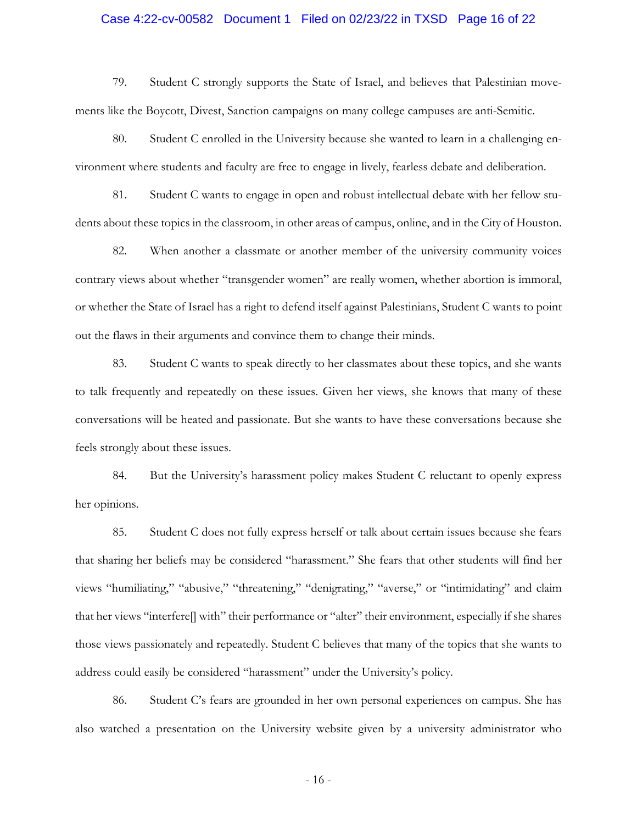### Case 4:22-cv-00582 Document 1 Filed on 02/23/22 in TXSD Page 16 of 22

79. Student C strongly supports the State of Israel, and believes that Palestinian movements like the Boycott, Divest, Sanction campaigns on many college campuses are anti-Semitic.

80. Student C enrolled in the University because she wanted to learn in a challenging environment where students and faculty are free to engage in lively, fearless debate and deliberation.

81. Student C wants to engage in open and robust intellectual debate with her fellow students about these topics in the classroom, in other areas of campus, online, and in the City of Houston.

82. When another a classmate or another member of the university community voices contrary views about whether "transgender women" are really women, whether abortion is immoral, or whether the State of Israel has a right to defend itself against Palestinians, Student C wants to point out the flaws in their arguments and convince them to change their minds.

83. Student C wants to speak directly to her classmates about these topics, and she wants to talk frequently and repeatedly on these issues. Given her views, she knows that many of these conversations will be heated and passionate. But she wants to have these conversations because she feels strongly about these issues.

84. But the University's harassment policy makes Student C reluctant to openly express her opinions.

85. Student C does not fully express herself or talk about certain issues because she fears that sharing her beliefs may be considered "harassment." She fears that other students will find her views "humiliating," "abusive," "threatening," "denigrating," "averse," or "intimidating" and claim that her views "interfere[] with" their performance or "alter" their environment, especially if she shares those views passionately and repeatedly. Student C believes that many of the topics that she wants to address could easily be considered "harassment" under the University's policy.

86. Student C's fears are grounded in her own personal experiences on campus. She has also watched a presentation on the University website given by a university administrator who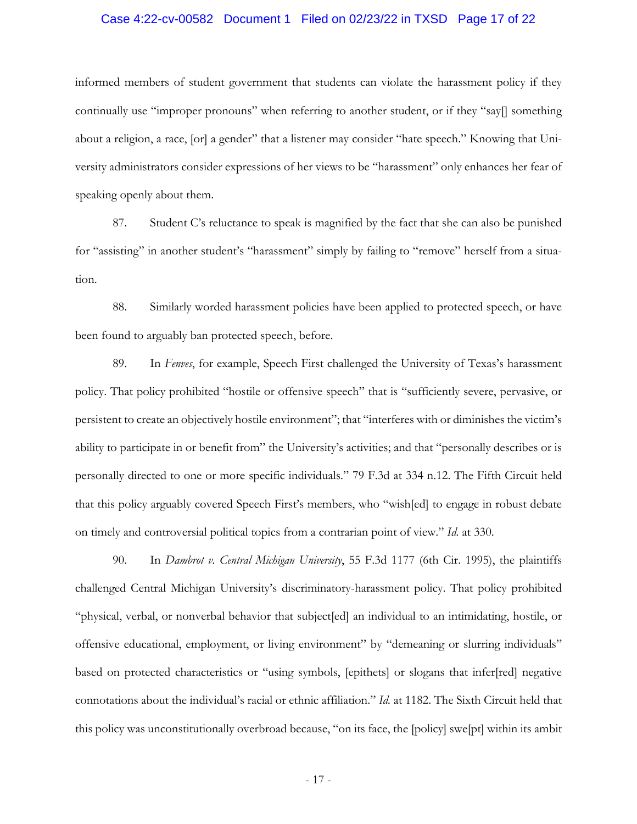### Case 4:22-cv-00582 Document 1 Filed on 02/23/22 in TXSD Page 17 of 22

informed members of student government that students can violate the harassment policy if they continually use "improper pronouns" when referring to another student, or if they "say[] something about a religion, a race, [or] a gender" that a listener may consider "hate speech." Knowing that University administrators consider expressions of her views to be "harassment" only enhances her fear of speaking openly about them.

87. Student C's reluctance to speak is magnified by the fact that she can also be punished for "assisting" in another student's "harassment" simply by failing to "remove" herself from a situation.

88. Similarly worded harassment policies have been applied to protected speech, or have been found to arguably ban protected speech, before.

89. In *Fenves*, for example, Speech First challenged the University of Texas's harassment policy. That policy prohibited "hostile or offensive speech" that is "sufficiently severe, pervasive, or persistent to create an objectively hostile environment"; that "interferes with or diminishes the victim's ability to participate in or benefit from" the University's activities; and that "personally describes or is personally directed to one or more specific individuals." 79 F.3d at 334 n.12. The Fifth Circuit held that this policy arguably covered Speech First's members, who "wish[ed] to engage in robust debate on timely and controversial political topics from a contrarian point of view." *Id.* at 330.

90. In *Dambrot v. Central Michigan University*, 55 F.3d 1177 (6th Cir. 1995), the plaintiffs challenged Central Michigan University's discriminatory-harassment policy. That policy prohibited "physical, verbal, or nonverbal behavior that subject[ed] an individual to an intimidating, hostile, or offensive educational, employment, or living environment" by "demeaning or slurring individuals" based on protected characteristics or "using symbols, [epithets] or slogans that infer[red] negative connotations about the individual's racial or ethnic affiliation." *Id.* at 1182. The Sixth Circuit held that this policy was unconstitutionally overbroad because, "on its face, the [policy] swe[pt] within its ambit

- 17 -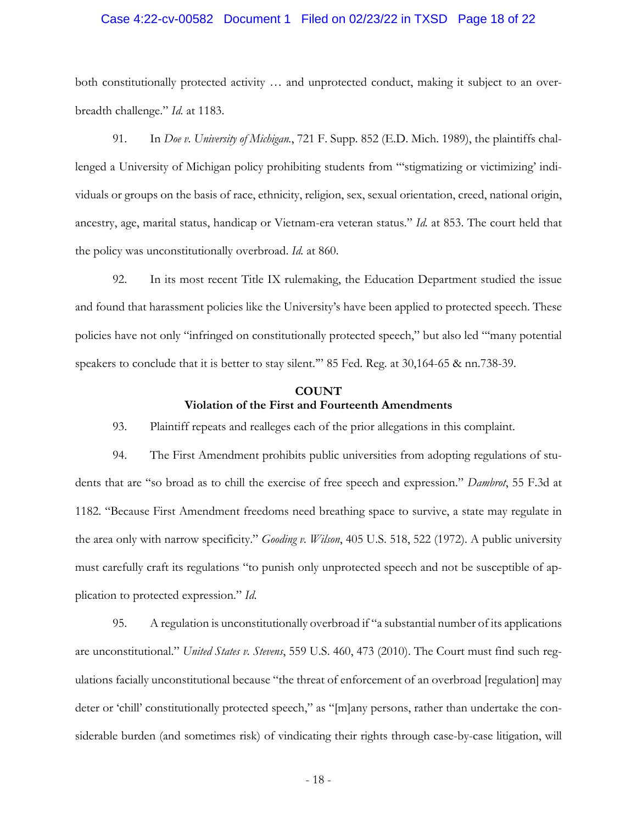### Case 4:22-cv-00582 Document 1 Filed on 02/23/22 in TXSD Page 18 of 22

both constitutionally protected activity … and unprotected conduct, making it subject to an overbreadth challenge." *Id.* at 1183.

91. In *Doe v. University of Michigan.*, 721 F. Supp. 852 (E.D. Mich. 1989), the plaintiffs challenged a University of Michigan policy prohibiting students from "'stigmatizing or victimizing' individuals or groups on the basis of race, ethnicity, religion, sex, sexual orientation, creed, national origin, ancestry, age, marital status, handicap or Vietnam-era veteran status." *Id.* at 853. The court held that the policy was unconstitutionally overbroad. *Id.* at 860.

92. In its most recent Title IX rulemaking, the Education Department studied the issue and found that harassment policies like the University's have been applied to protected speech. These policies have not only "infringed on constitutionally protected speech," but also led "'many potential speakers to conclude that it is better to stay silent.'" 85 Fed. Reg. at 30,164-65 & nn.738-39.

# **COUNT Violation of the First and Fourteenth Amendments**

93. Plaintiff repeats and realleges each of the prior allegations in this complaint.

94. The First Amendment prohibits public universities from adopting regulations of students that are "so broad as to chill the exercise of free speech and expression." *Dambrot*, 55 F.3d at 1182. "Because First Amendment freedoms need breathing space to survive, a state may regulate in the area only with narrow specificity." *Gooding v. Wilson*, 405 U.S. 518, 522 (1972). A public university must carefully craft its regulations "to punish only unprotected speech and not be susceptible of application to protected expression." *Id*.

95. A regulation is unconstitutionally overbroad if "a substantial number of its applications are unconstitutional." *United States v. Stevens*, 559 U.S. 460, 473 (2010). The Court must find such regulations facially unconstitutional because "the threat of enforcement of an overbroad [regulation] may deter or 'chill' constitutionally protected speech," as "[m]any persons, rather than undertake the considerable burden (and sometimes risk) of vindicating their rights through case-by-case litigation, will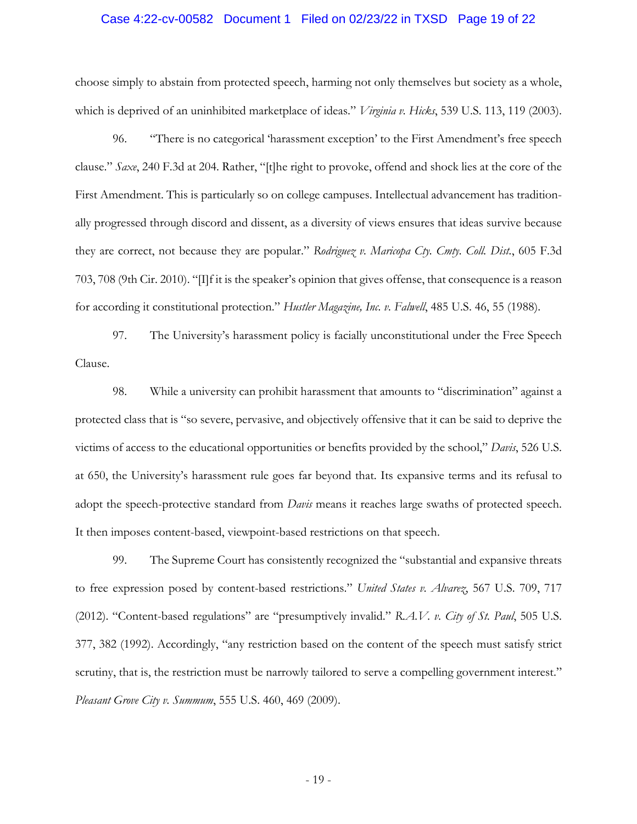### Case 4:22-cv-00582 Document 1 Filed on 02/23/22 in TXSD Page 19 of 22

choose simply to abstain from protected speech, harming not only themselves but society as a whole, which is deprived of an uninhibited marketplace of ideas." *Virginia v. Hicks*, 539 U.S. 113, 119 (2003).

96. "There is no categorical 'harassment exception' to the First Amendment's free speech clause." *Saxe*, 240 F.3d at 204. Rather, "[t]he right to provoke, offend and shock lies at the core of the First Amendment. This is particularly so on college campuses. Intellectual advancement has traditionally progressed through discord and dissent, as a diversity of views ensures that ideas survive because they are correct, not because they are popular." *Rodriguez v. Maricopa Cty. Cmty. Coll. Dist.*, 605 F.3d 703, 708 (9th Cir. 2010). "[I]f it is the speaker's opinion that gives offense, that consequence is a reason for according it constitutional protection." *Hustler Magazine, Inc. v. Falwell*, 485 U.S. 46, 55 (1988).

97. The University's harassment policy is facially unconstitutional under the Free Speech Clause.

98. While a university can prohibit harassment that amounts to "discrimination" against a protected class that is "so severe, pervasive, and objectively offensive that it can be said to deprive the victims of access to the educational opportunities or benefits provided by the school," *Davis*, 526 U.S. at 650, the University's harassment rule goes far beyond that. Its expansive terms and its refusal to adopt the speech-protective standard from *Davis* means it reaches large swaths of protected speech. It then imposes content-based, viewpoint-based restrictions on that speech.

99. The Supreme Court has consistently recognized the "substantial and expansive threats to free expression posed by content-based restrictions." *United States v. Alvarez*, 567 U.S. 709, 717 (2012). "Content-based regulations" are "presumptively invalid." *R.A.V. v. City of St. Paul*, 505 U.S. 377, 382 (1992). Accordingly, "any restriction based on the content of the speech must satisfy strict scrutiny, that is, the restriction must be narrowly tailored to serve a compelling government interest." *Pleasant Grove City v. Summum*, 555 U.S. 460, 469 (2009).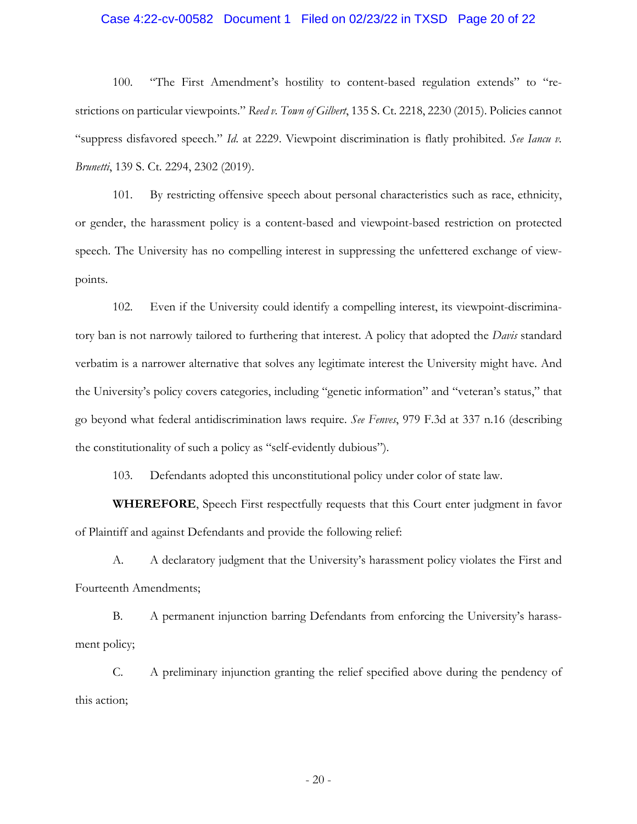### Case 4:22-cv-00582 Document 1 Filed on 02/23/22 in TXSD Page 20 of 22

100. "The First Amendment's hostility to content-based regulation extends" to "restrictions on particular viewpoints." *Reed v. Town of Gilbert*, 135 S. Ct. 2218, 2230 (2015). Policies cannot "suppress disfavored speech." *Id*. at 2229. Viewpoint discrimination is flatly prohibited. *See Iancu v. Brunetti*, 139 S. Ct. 2294, 2302 (2019).

101. By restricting offensive speech about personal characteristics such as race, ethnicity, or gender, the harassment policy is a content-based and viewpoint-based restriction on protected speech. The University has no compelling interest in suppressing the unfettered exchange of viewpoints.

102. Even if the University could identify a compelling interest, its viewpoint-discriminatory ban is not narrowly tailored to furthering that interest. A policy that adopted the *Davis* standard verbatim is a narrower alternative that solves any legitimate interest the University might have. And the University's policy covers categories, including "genetic information" and "veteran's status," that go beyond what federal antidiscrimination laws require. *See Fenves*, 979 F.3d at 337 n.16 (describing the constitutionality of such a policy as "self-evidently dubious").

103. Defendants adopted this unconstitutional policy under color of state law.

**WHEREFORE**, Speech First respectfully requests that this Court enter judgment in favor of Plaintiff and against Defendants and provide the following relief:

A. A declaratory judgment that the University's harassment policy violates the First and Fourteenth Amendments;

B. A permanent injunction barring Defendants from enforcing the University's harassment policy;

C. A preliminary injunction granting the relief specified above during the pendency of this action;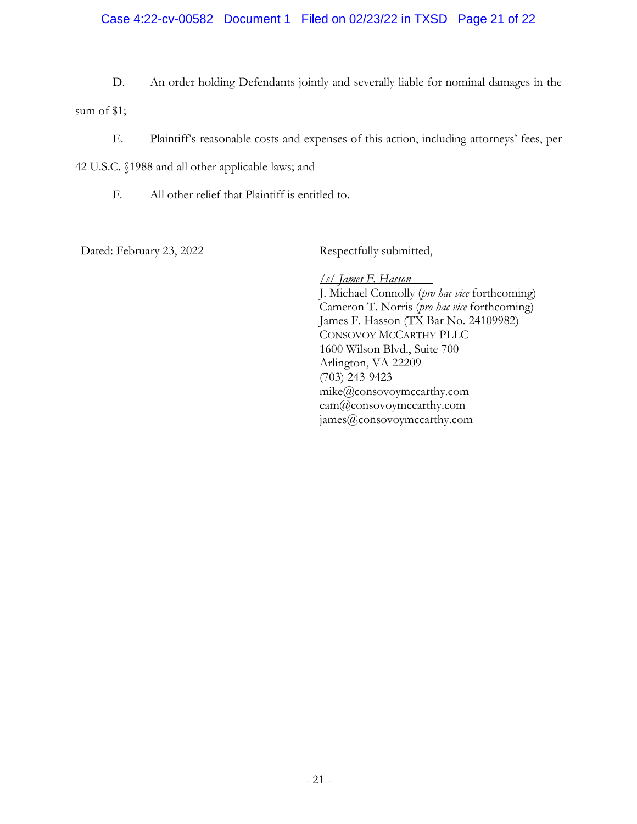### Case 4:22-cv-00582 Document 1 Filed on 02/23/22 in TXSD Page 21 of 22

D. An order holding Defendants jointly and severally liable for nominal damages in the

sum of \$1;

E. Plaintiff's reasonable costs and expenses of this action, including attorneys' fees, per

42 U.S.C. §1988 and all other applicable laws; and

F. All other relief that Plaintiff is entitled to.

Dated: February 23, 2022 Respectfully submitted,

*/s/ James F. Hasson*  J. Michael Connolly (*pro hac vice* forthcoming) Cameron T. Norris (*pro hac vice* forthcoming) James F. Hasson (TX Bar No. 24109982) CONSOVOY MCCARTHY PLLC 1600 Wilson Blvd., Suite 700 Arlington, VA 22209 (703) 243-9423 mike@consovoymccarthy.com cam@consovoymccarthy.com james@consovoymccarthy.com